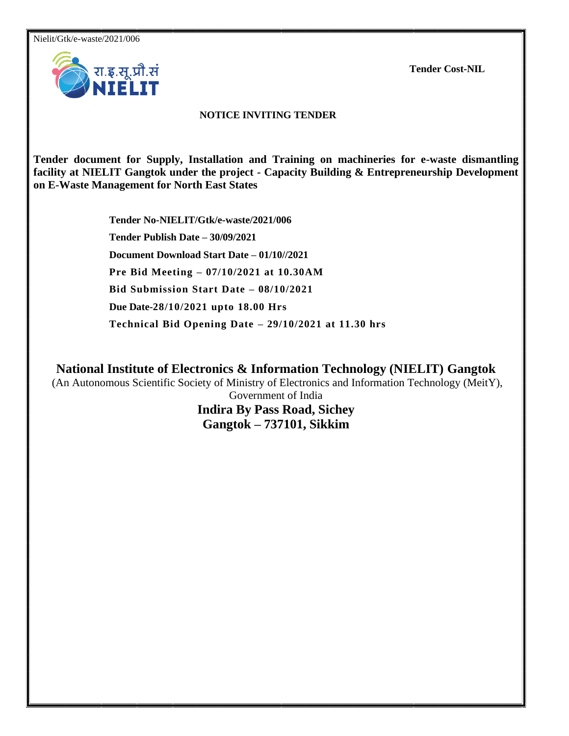Nielit/Gtk/e-waste/2021/006

**Tender Cost-NIL**



### **NOTICE INVITING TENDER**

**Tender document for Supply, Installation and Training on machineries for e-waste dismantling facility at NIELIT Gangtok under the project - Capacity Building & Entrepreneurship Development on E-Waste Management for North East States**

> **Tender No-NIELIT/Gtk/e-waste/2021/006 Tender Publish Date – 30/09/2021 Document Download Start Date – 01/10//2021 Pre Bid Meeting – 07/10/2021 at 10.30AM Bid Submission Start Date – 08/10/2021 Due Date-28/10/2021 upto 18.00 Hrs Technical Bid Opening Date – 29/10/2021 at 11.30 hrs**

**National Institute of Electronics & Information Technology (NIELIT) Gangtok**

(An Autonomous Scientific Society of Ministry of Electronics and Information Technology (MeitY),

Government of India **Indira By Pass Road, Sichey Gangtok – 737101, Sikkim**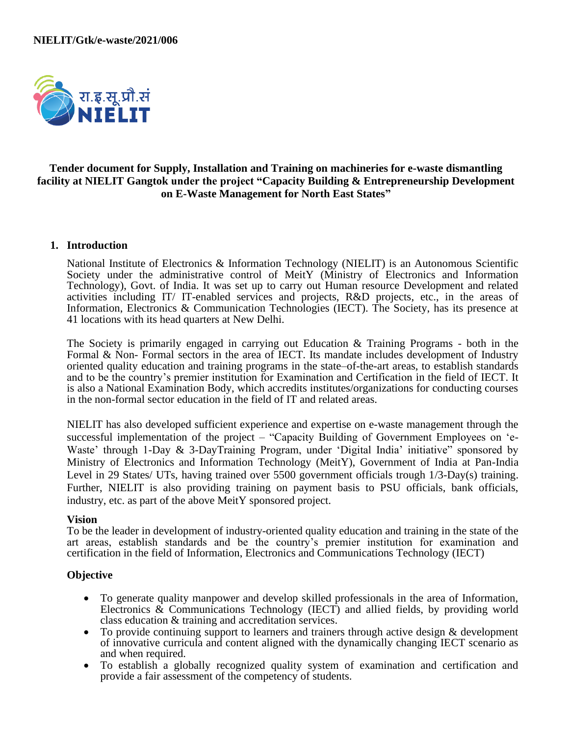

# **Tender document for Supply, Installation and Training on machineries for e-waste dismantling facility at NIELIT Gangtok under the project "Capacity Building & Entrepreneurship Development on E-Waste Management for North East States"**

#### **1. Introduction**

National Institute of Electronics & Information Technology (NIELIT) is an Autonomous Scientific Society under the administrative control of MeitY (Ministry of Electronics and Information Technology), Govt. of India. It was set up to carry out Human resource Development and related activities including IT/ IT-enabled services and projects, R&D projects, etc., in the areas of Information, Electronics & Communication Technologies (IECT). The Society, has its presence at 41 locations with its head quarters at New Delhi.

The Society is primarily engaged in carrying out Education & Training Programs - both in the Formal & Non- Formal sectors in the area of IECT. Its mandate includes development of Industry oriented quality education and training programs in the state–of-the-art areas, to establish standards and to be the country's premier institution for Examination and Certification in the field of IECT. It is also a National Examination Body, which accredits institutes/organizations for conducting courses in the non-formal sector education in the field of IT and related areas.

NIELIT has also developed sufficient experience and expertise on e-waste management through the successful implementation of the project – "Capacity Building of Government Employees on 'e-Waste' through 1-Day & 3-DayTraining Program, under 'Digital India' initiative'' sponsored by Ministry of Electronics and Information Technology (MeitY), Government of India at Pan-India Level in 29 States/ UTs, having trained over 5500 government officials trough 1/3-Day(s) training. Further, NIELIT is also providing training on payment basis to PSU officials, bank officials, industry, etc. as part of the above MeitY sponsored project.

#### **Vision**

To be the leader in development of industry-oriented quality education and training in the state of the art areas, establish standards and be the country's premier institution for examination and certification in the field of Information, Electronics and Communications Technology (IECT)

### **Objective**

- To generate quality manpower and develop skilled professionals in the area of Information, Electronics  $\&$  Communications Technology (IECT) and allied fields, by providing world class education & training and accreditation services.
- To provide continuing support to learners and trainers through active design & development of innovative curricula and content aligned with the dynamically changing IECT scenario as and when required.
- To establish a globally recognized quality system of examination and certification and provide a fair assessment of the competency of students.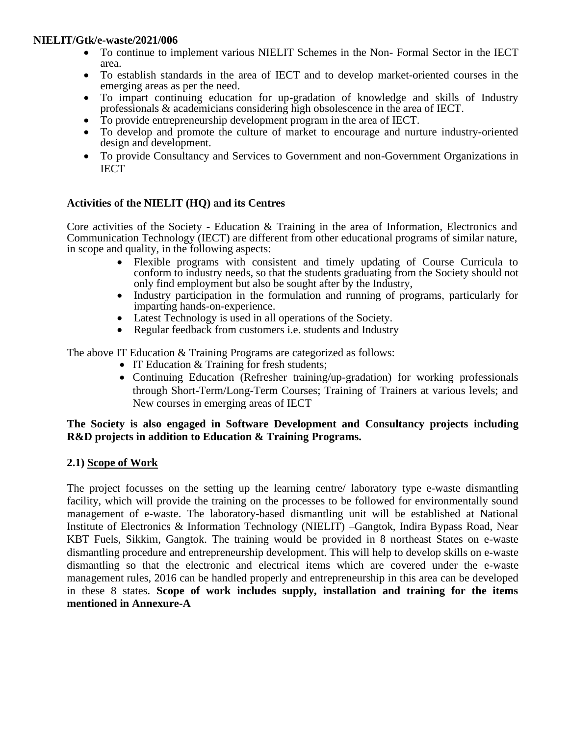- To continue to implement various NIELIT Schemes in the Non-Formal Sector in the IECT area.
- To establish standards in the area of IECT and to develop market-oriented courses in the emerging areas as per the need.
- To impart continuing education for up-gradation of knowledge and skills of Industry professionals & academicians considering high obsolescence in the area of IECT.
- To provide entrepreneurship development program in the area of IECT.
- To develop and promote the culture of market to encourage and nurture industry-oriented design and development.
- To provide Consultancy and Services to Government and non-Government Organizations in **IECT**

# **Activities of the NIELIT (HQ) and its Centres**

Core activities of the Society - Education & Training in the area of Information, Electronics and Communication Technology (IECT) are different from other educational programs of similar nature, in scope and quality, in the following aspects:

- Flexible programs with consistent and timely updating of Course Curricula to conform to industry needs, so that the students graduating from the Society should not only find employment but also be sought after by the Industry,
- Industry participation in the formulation and running of programs, particularly for imparting hands-on-experience.
- Latest Technology is used in all operations of the Society.
- Regular feedback from customers i.e. students and Industry

The above IT Education & Training Programs are categorized as follows:

- IT Education & Training for fresh students;
- Continuing Education (Refresher training/up-gradation) for working professionals through Short-Term/Long-Term Courses; Training of Trainers at various levels; and New courses in emerging areas of IECT

# **The Society is also engaged in Software Development and Consultancy projects including R&D projects in addition to Education & Training Programs.**

# **2.1) Scope of Work**

The project focusses on the setting up the learning centre/ laboratory type e-waste dismantling facility, which will provide the training on the processes to be followed for environmentally sound management of e-waste. The laboratory-based dismantling unit will be established at National Institute of Electronics & Information Technology (NIELIT) –Gangtok, Indira Bypass Road, Near KBT Fuels, Sikkim, Gangtok. The training would be provided in 8 northeast States on e-waste dismantling procedure and entrepreneurship development. This will help to develop skills on e-waste dismantling so that the electronic and electrical items which are covered under the e-waste management rules, 2016 can be handled properly and entrepreneurship in this area can be developed in these 8 states. **Scope of work includes supply, installation and training for the items mentioned in Annexure-A**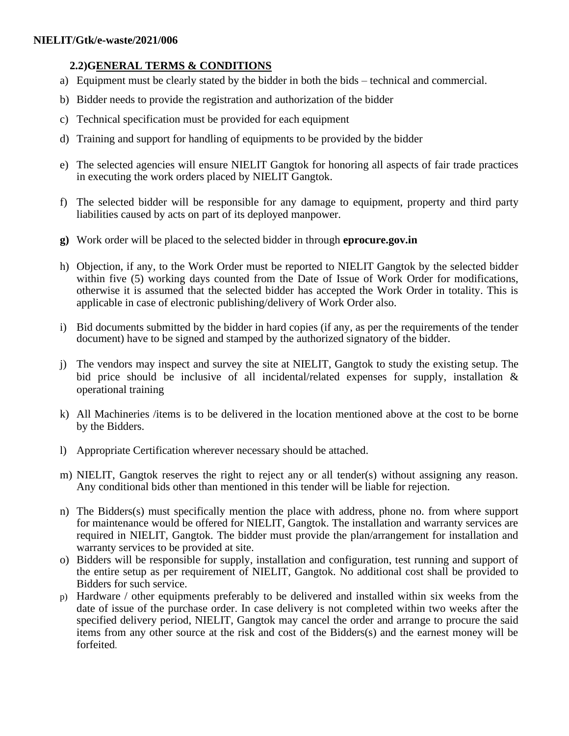# **2.2)GENERAL TERMS & CONDITIONS**

- a) Equipment must be clearly stated by the bidder in both the bids technical and commercial.
- b) Bidder needs to provide the registration and authorization of the bidder
- c) Technical specification must be provided for each equipment
- d) Training and support for handling of equipments to be provided by the bidder
- e) The selected agencies will ensure NIELIT Gangtok for honoring all aspects of fair trade practices in executing the work orders placed by NIELIT Gangtok.
- f) The selected bidder will be responsible for any damage to equipment, property and third party liabilities caused by acts on part of its deployed manpower.
- **g)** Work order will be placed to the selected bidder in through **eprocure.gov.in**
- h) Objection, if any, to the Work Order must be reported to NIELIT Gangtok by the selected bidder within five (5) working days counted from the Date of Issue of Work Order for modifications, otherwise it is assumed that the selected bidder has accepted the Work Order in totality. This is applicable in case of electronic publishing/delivery of Work Order also.
- i) Bid documents submitted by the bidder in hard copies (if any, as per the requirements of the tender document) have to be signed and stamped by the authorized signatory of the bidder.
- j) The vendors may inspect and survey the site at NIELIT, Gangtok to study the existing setup. The bid price should be inclusive of all incidental/related expenses for supply, installation & operational training
- k) All Machineries /items is to be delivered in the location mentioned above at the cost to be borne by the Bidders.
- l) Appropriate Certification wherever necessary should be attached.
- m) NIELIT, Gangtok reserves the right to reject any or all tender(s) without assigning any reason. Any conditional bids other than mentioned in this tender will be liable for rejection.
- n) The Bidders(s) must specifically mention the place with address, phone no. from where support for maintenance would be offered for NIELIT, Gangtok. The installation and warranty services are required in NIELIT, Gangtok. The bidder must provide the plan/arrangement for installation and warranty services to be provided at site.
- o) Bidders will be responsible for supply, installation and configuration, test running and support of the entire setup as per requirement of NIELIT, Gangtok. No additional cost shall be provided to Bidders for such service.
- p) Hardware / other equipments preferably to be delivered and installed within six weeks from the date of issue of the purchase order. In case delivery is not completed within two weeks after the specified delivery period, NIELIT, Gangtok may cancel the order and arrange to procure the said items from any other source at the risk and cost of the Bidders(s) and the earnest money will be forfeited.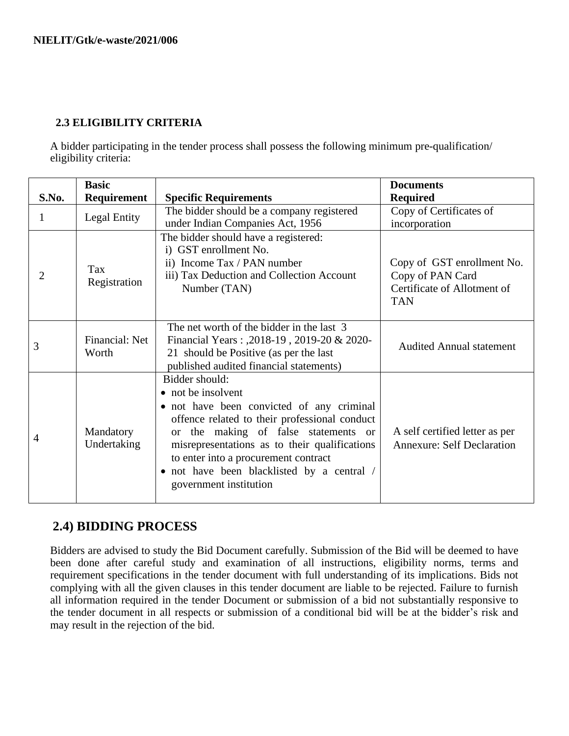# **2.3 ELIGIBILITY CRITERIA**

A bidder participating in the tender process shall possess the following minimum pre-qualification/ eligibility criteria:

|                | <b>Basic</b>             |                                                                                                                                                                                                                                                                                                                                             | <b>Documents</b>                                                                            |  |
|----------------|--------------------------|---------------------------------------------------------------------------------------------------------------------------------------------------------------------------------------------------------------------------------------------------------------------------------------------------------------------------------------------|---------------------------------------------------------------------------------------------|--|
| S.No.          | Requirement              | <b>Specific Requirements</b>                                                                                                                                                                                                                                                                                                                | <b>Required</b>                                                                             |  |
| $\mathbf{1}$   | Legal Entity             | The bidder should be a company registered<br>under Indian Companies Act, 1956                                                                                                                                                                                                                                                               | Copy of Certificates of<br>incorporation                                                    |  |
| $\overline{2}$ | Tax<br>Registration      | The bidder should have a registered:<br>i) GST enrollment No.<br>ii) Income Tax / PAN number<br>iii) Tax Deduction and Collection Account<br>Number (TAN)                                                                                                                                                                                   | Copy of GST enrollment No.<br>Copy of PAN Card<br>Certificate of Allotment of<br><b>TAN</b> |  |
| 3              | Financial: Net<br>Worth  | The net worth of the bidder in the last 3<br>Financial Years: ,2018-19, 2019-20 & 2020-<br>21 should be Positive (as per the last<br>published audited financial statements)                                                                                                                                                                | <b>Audited Annual statement</b>                                                             |  |
| 4              | Mandatory<br>Undertaking | Bidder should:<br>• not be insolvent<br>• not have been convicted of any criminal<br>offence related to their professional conduct<br>or the making of false statements or<br>misrepresentations as to their qualifications<br>to enter into a procurement contract<br>• not have been blacklisted by a central /<br>government institution | A self certified letter as per<br><b>Annexure: Self Declaration</b>                         |  |

# **2.4) BIDDING PROCESS**

Bidders are advised to study the Bid Document carefully. Submission of the Bid will be deemed to have been done after careful study and examination of all instructions, eligibility norms, terms and requirement specifications in the tender document with full understanding of its implications. Bids not complying with all the given clauses in this tender document are liable to be rejected. Failure to furnish all information required in the tender Document or submission of a bid not substantially responsive to the tender document in all respects or submission of a conditional bid will be at the bidder's risk and may result in the rejection of the bid.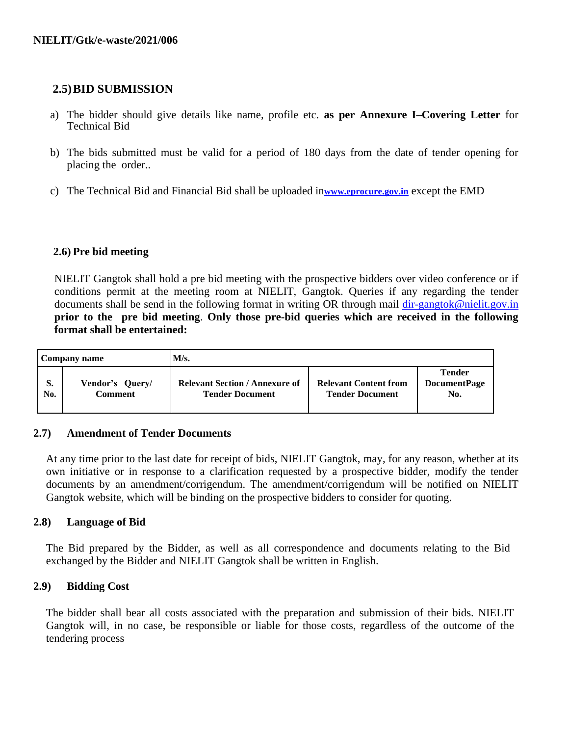# **2.5)BID SUBMISSION**

- a) The bidder should give details like name, profile etc. **as per Annexure I–Covering Letter** for Technical Bid
- b) The bids submitted must be valid for a period of 180 days from the date of tender opening for placing the order..
- c) The Technical Bid and Financial Bid shall be uploaded in**[www.eprocure.gov.in](http://www.eprocure.gov.in/)** except the EMD

# **2.6) Pre bid meeting**

NIELIT Gangtok shall hold a pre bid meeting with the prospective bidders over video conference or if conditions permit at the meeting room at NIELIT, Gangtok. Queries if any regarding the tender documents shall be send in the following format in writing OR through mail [dir-gangtok@nielit.gov.in](mailto:dir-gangtok@nielit.gov.in) **prior to the pre bid meeting**. **Only those pre-bid queries which are received in the following format shall be entertained:**

| Company name |           |                                   | M/s.                                                            |                                                        |                                             |  |
|--------------|-----------|-----------------------------------|-----------------------------------------------------------------|--------------------------------------------------------|---------------------------------------------|--|
|              | S.<br>No. | Vendor's Query/<br><b>Comment</b> | <b>Relevant Section / Annexure of</b><br><b>Tender Document</b> | <b>Relevant Content from</b><br><b>Tender Document</b> | <b>Tender</b><br><b>DocumentPage</b><br>No. |  |

### **2.7) Amendment of Tender Documents**

At any time prior to the last date for receipt of bids, NIELIT Gangtok, may, for any reason, whether at its own initiative or in response to a clarification requested by a prospective bidder, modify the tender documents by an amendment/corrigendum. The amendment/corrigendum will be notified on NIELIT Gangtok website, which will be binding on the prospective bidders to consider for quoting.

### **2.8) Language of Bid**

The Bid prepared by the Bidder, as well as all correspondence and documents relating to the Bid exchanged by the Bidder and NIELIT Gangtok shall be written in English.

### **2.9) Bidding Cost**

The bidder shall bear all costs associated with the preparation and submission of their bids. NIELIT Gangtok will, in no case, be responsible or liable for those costs, regardless of the outcome of the tendering process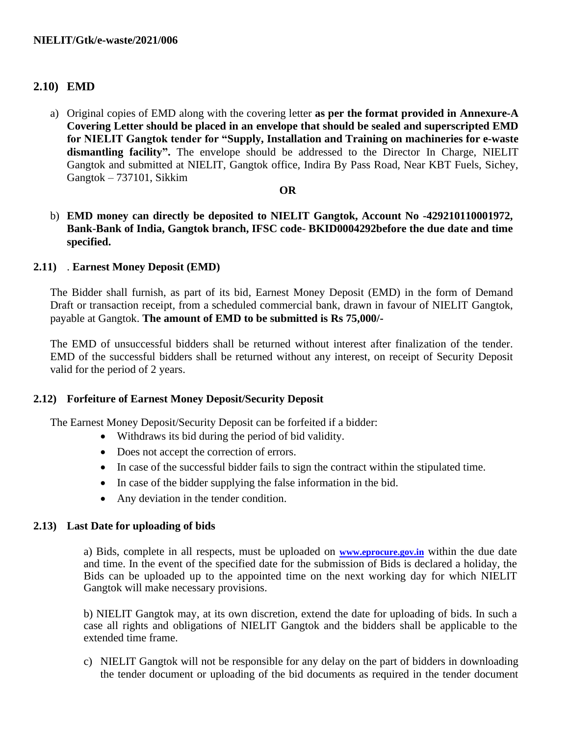# **2.10) EMD**

a) Original copies of EMD along with the covering letter **as per the format provided in Annexure-A Covering Letter should be placed in an envelope that should be sealed and superscripted EMD for NIELIT Gangtok tender for "Supply, Installation and Training on machineries for e-waste**  dismantling facility". The envelope should be addressed to the Director In Charge, NIELIT Gangtok and submitted at NIELIT, Gangtok office, Indira By Pass Road, Near KBT Fuels, Sichey, Gangtok – 737101, Sikkim

### **OR**

b) **EMD money can directly be deposited to NIELIT Gangtok, Account No -429210110001972, Bank-Bank of India, Gangtok branch, IFSC code- BKID0004292before the due date and time specified.**

# **2.11)** . **Earnest Money Deposit (EMD)**

The Bidder shall furnish, as part of its bid, Earnest Money Deposit (EMD) in the form of Demand Draft or transaction receipt, from a scheduled commercial bank, drawn in favour of NIELIT Gangtok, payable at Gangtok. **The amount of EMD to be submitted is Rs 75,000/-**

The EMD of unsuccessful bidders shall be returned without interest after finalization of the tender. EMD of the successful bidders shall be returned without any interest, on receipt of Security Deposit valid for the period of 2 years.

### **2.12) Forfeiture of Earnest Money Deposit/Security Deposit**

The Earnest Money Deposit/Security Deposit can be forfeited if a bidder:

- Withdraws its bid during the period of bid validity.
- Does not accept the correction of errors.
- In case of the successful bidder fails to sign the contract within the stipulated time.
- In case of the bidder supplying the false information in the bid.
- Any deviation in the tender condition.

### **2.13) Last Date for uploading of bids**

a) Bids, complete in all respects, must be uploaded on **[www.eprocure.gov.in](http://www.eprocure.gov.in/)** within the due date and time. In the event of the specified date for the submission of Bids is declared a holiday, the Bids can be uploaded up to the appointed time on the next working day for which NIELIT Gangtok will make necessary provisions.

b) NIELIT Gangtok may, at its own discretion, extend the date for uploading of bids. In such a case all rights and obligations of NIELIT Gangtok and the bidders shall be applicable to the extended time frame.

c) NIELIT Gangtok will not be responsible for any delay on the part of bidders in downloading the tender document or uploading of the bid documents as required in the tender document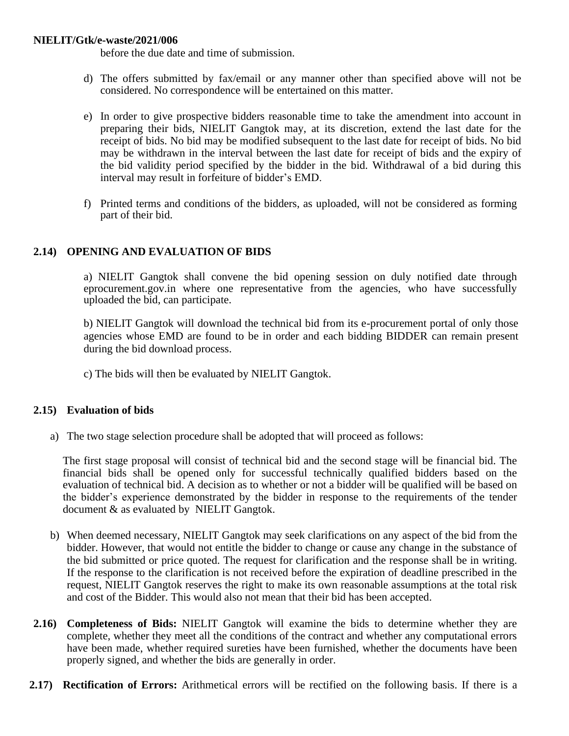before the due date and time of submission.

- d) The offers submitted by fax/email or any manner other than specified above will not be considered. No correspondence will be entertained on this matter.
- e) In order to give prospective bidders reasonable time to take the amendment into account in preparing their bids, NIELIT Gangtok may, at its discretion, extend the last date for the receipt of bids. No bid may be modified subsequent to the last date for receipt of bids. No bid may be withdrawn in the interval between the last date for receipt of bids and the expiry of the bid validity period specified by the bidder in the bid. Withdrawal of a bid during this interval may result in forfeiture of bidder's EMD.
- f) Printed terms and conditions of the bidders, as uploaded, will not be considered as forming part of their bid.

### **2.14) OPENING AND EVALUATION OF BIDS**

a) NIELIT Gangtok shall convene the bid opening session on duly notified date through eprocurement.gov.in where one representative from the agencies, who have successfully uploaded the bid, can participate.

b) NIELIT Gangtok will download the technical bid from its e-procurement portal of only those agencies whose EMD are found to be in order and each bidding BIDDER can remain present during the bid download process.

c) The bids will then be evaluated by NIELIT Gangtok.

#### **2.15) Evaluation of bids**

a) The two stage selection procedure shall be adopted that will proceed as follows:

The first stage proposal will consist of technical bid and the second stage will be financial bid. The financial bids shall be opened only for successful technically qualified bidders based on the evaluation of technical bid. A decision as to whether or not a bidder will be qualified will be based on the bidder's experience demonstrated by the bidder in response to the requirements of the tender document & as evaluated by NIELIT Gangtok.

- b) When deemed necessary, NIELIT Gangtok may seek clarifications on any aspect of the bid from the bidder. However, that would not entitle the bidder to change or cause any change in the substance of the bid submitted or price quoted. The request for clarification and the response shall be in writing. If the response to the clarification is not received before the expiration of deadline prescribed in the request, NIELIT Gangtok reserves the right to make its own reasonable assumptions at the total risk and cost of the Bidder. This would also not mean that their bid has been accepted.
- **2.16) Completeness of Bids:** NIELIT Gangtok will examine the bids to determine whether they are complete, whether they meet all the conditions of the contract and whether any computational errors have been made, whether required sureties have been furnished, whether the documents have been properly signed, and whether the bids are generally in order.
- **2.17) Rectification of Errors:** Arithmetical errors will be rectified on the following basis. If there is a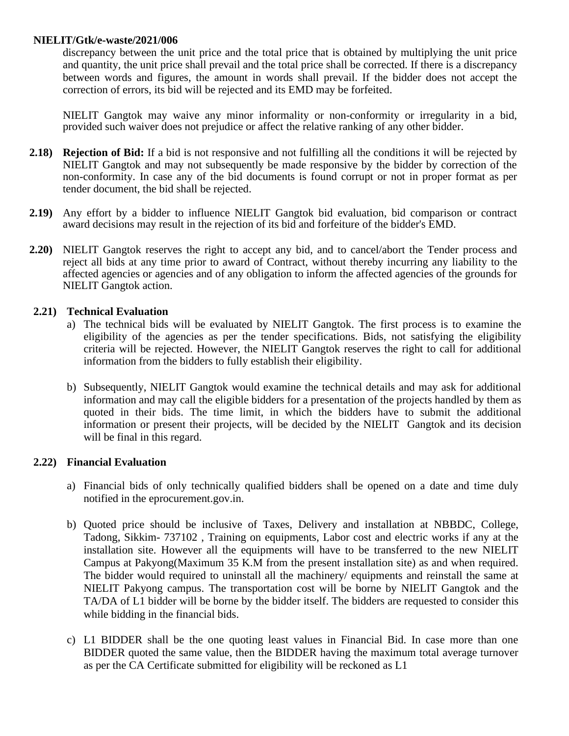discrepancy between the unit price and the total price that is obtained by multiplying the unit price and quantity, the unit price shall prevail and the total price shall be corrected. If there is a discrepancy between words and figures, the amount in words shall prevail. If the bidder does not accept the correction of errors, its bid will be rejected and its EMD may be forfeited.

NIELIT Gangtok may waive any minor informality or non-conformity or irregularity in a bid, provided such waiver does not prejudice or affect the relative ranking of any other bidder.

- **2.18) Rejection of Bid:** If a bid is not responsive and not fulfilling all the conditions it will be rejected by NIELIT Gangtok and may not subsequently be made responsive by the bidder by correction of the non-conformity. In case any of the bid documents is found corrupt or not in proper format as per tender document, the bid shall be rejected.
- **2.19)** Any effort by a bidder to influence NIELIT Gangtok bid evaluation, bid comparison or contract award decisions may result in the rejection of its bid and forfeiture of the bidder's EMD.
- **2.20)** NIELIT Gangtok reserves the right to accept any bid, and to cancel/abort the Tender process and reject all bids at any time prior to award of Contract, without thereby incurring any liability to the affected agencies or agencies and of any obligation to inform the affected agencies of the grounds for NIELIT Gangtok action.

### **2.21) Technical Evaluation**

- a) The technical bids will be evaluated by NIELIT Gangtok. The first process is to examine the eligibility of the agencies as per the tender specifications. Bids, not satisfying the eligibility criteria will be rejected. However, the NIELIT Gangtok reserves the right to call for additional information from the bidders to fully establish their eligibility.
- b) Subsequently, NIELIT Gangtok would examine the technical details and may ask for additional information and may call the eligible bidders for a presentation of the projects handled by them as quoted in their bids. The time limit, in which the bidders have to submit the additional information or present their projects, will be decided by the NIELIT Gangtok and its decision will be final in this regard.

### **2.22) Financial Evaluation**

- a) Financial bids of only technically qualified bidders shall be opened on a date and time duly notified in the eprocurement.gov.in.
- b) Quoted price should be inclusive of Taxes, Delivery and installation at NBBDC, College, Tadong, Sikkim- 737102 , Training on equipments, Labor cost and electric works if any at the installation site. However all the equipments will have to be transferred to the new NIELIT Campus at Pakyong(Maximum 35 K.M from the present installation site) as and when required. The bidder would required to uninstall all the machinery/ equipments and reinstall the same at NIELIT Pakyong campus. The transportation cost will be borne by NIELIT Gangtok and the TA/DA of L1 bidder will be borne by the bidder itself. The bidders are requested to consider this while bidding in the financial bids.
- c) L1 BIDDER shall be the one quoting least values in Financial Bid. In case more than one BIDDER quoted the same value, then the BIDDER having the maximum total average turnover as per the CA Certificate submitted for eligibility will be reckoned as L1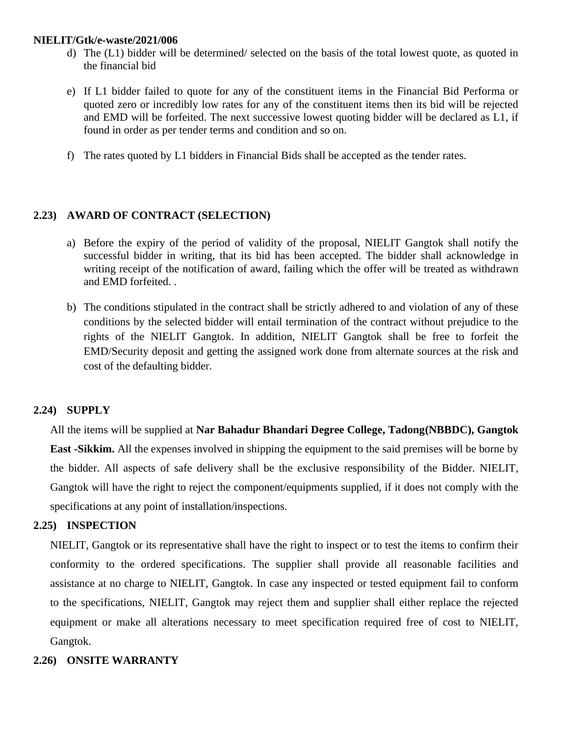- d) The (L1) bidder will be determined/ selected on the basis of the total lowest quote, as quoted in the financial bid
- e) If L1 bidder failed to quote for any of the constituent items in the Financial Bid Performa or quoted zero or incredibly low rates for any of the constituent items then its bid will be rejected and EMD will be forfeited. The next successive lowest quoting bidder will be declared as L1, if found in order as per tender terms and condition and so on.
- f) The rates quoted by L1 bidders in Financial Bids shall be accepted as the tender rates.

# **2.23) AWARD OF CONTRACT (SELECTION)**

- a) Before the expiry of the period of validity of the proposal, NIELIT Gangtok shall notify the successful bidder in writing, that its bid has been accepted. The bidder shall acknowledge in writing receipt of the notification of award, failing which the offer will be treated as withdrawn and EMD forfeited. .
- b) The conditions stipulated in the contract shall be strictly adhered to and violation of any of these conditions by the selected bidder will entail termination of the contract without prejudice to the rights of the NIELIT Gangtok. In addition, NIELIT Gangtok shall be free to forfeit the EMD/Security deposit and getting the assigned work done from alternate sources at the risk and cost of the defaulting bidder.

# **2.24) SUPPLY**

All the items will be supplied at **Nar Bahadur Bhandari Degree College, Tadong(NBBDC), Gangtok East -Sikkim.** All the expenses involved in shipping the equipment to the said premises will be borne by the bidder. All aspects of safe delivery shall be the exclusive responsibility of the Bidder. NIELIT, Gangtok will have the right to reject the component/equipments supplied, if it does not comply with the specifications at any point of installation/inspections.

# **2.25) INSPECTION**

NIELIT, Gangtok or its representative shall have the right to inspect or to test the items to confirm their conformity to the ordered specifications. The supplier shall provide all reasonable facilities and assistance at no charge to NIELIT, Gangtok. In case any inspected or tested equipment fail to conform to the specifications, NIELIT, Gangtok may reject them and supplier shall either replace the rejected equipment or make all alterations necessary to meet specification required free of cost to NIELIT, Gangtok.

# **2.26) ONSITE WARRANTY**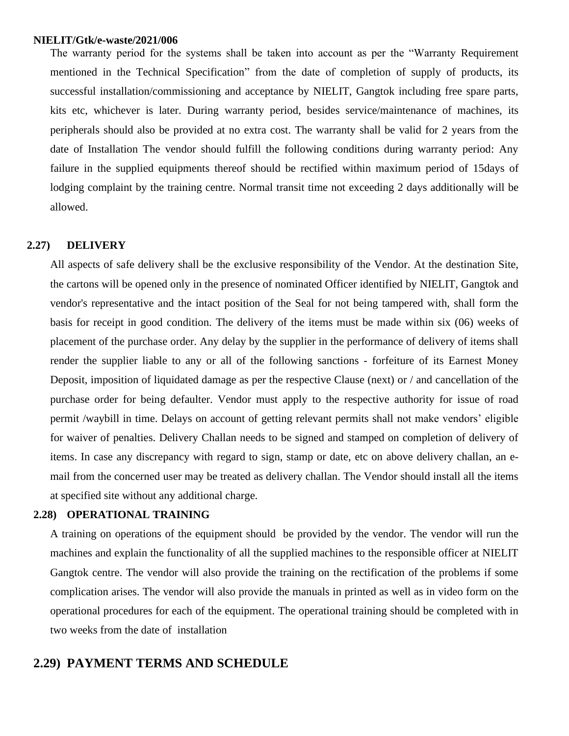The warranty period for the systems shall be taken into account as per the "Warranty Requirement mentioned in the Technical Specification" from the date of completion of supply of products, its successful installation/commissioning and acceptance by NIELIT, Gangtok including free spare parts, kits etc, whichever is later. During warranty period, besides service/maintenance of machines, its peripherals should also be provided at no extra cost. The warranty shall be valid for 2 years from the date of Installation The vendor should fulfill the following conditions during warranty period: Any failure in the supplied equipments thereof should be rectified within maximum period of 15days of lodging complaint by the training centre. Normal transit time not exceeding 2 days additionally will be allowed.

#### **2.27) DELIVERY**

All aspects of safe delivery shall be the exclusive responsibility of the Vendor. At the destination Site, the cartons will be opened only in the presence of nominated Officer identified by NIELIT, Gangtok and vendor's representative and the intact position of the Seal for not being tampered with, shall form the basis for receipt in good condition. The delivery of the items must be made within six (06) weeks of placement of the purchase order. Any delay by the supplier in the performance of delivery of items shall render the supplier liable to any or all of the following sanctions - forfeiture of its Earnest Money Deposit, imposition of liquidated damage as per the respective Clause (next) or / and cancellation of the purchase order for being defaulter. Vendor must apply to the respective authority for issue of road permit /waybill in time. Delays on account of getting relevant permits shall not make vendors' eligible for waiver of penalties. Delivery Challan needs to be signed and stamped on completion of delivery of items. In case any discrepancy with regard to sign, stamp or date, etc on above delivery challan, an email from the concerned user may be treated as delivery challan. The Vendor should install all the items at specified site without any additional charge.

#### **2.28) OPERATIONAL TRAINING**

A training on operations of the equipment should be provided by the vendor. The vendor will run the machines and explain the functionality of all the supplied machines to the responsible officer at NIELIT Gangtok centre. The vendor will also provide the training on the rectification of the problems if some complication arises. The vendor will also provide the manuals in printed as well as in video form on the operational procedures for each of the equipment. The operational training should be completed with in two weeks from the date of installation

# **2.29) PAYMENT TERMS AND SCHEDULE**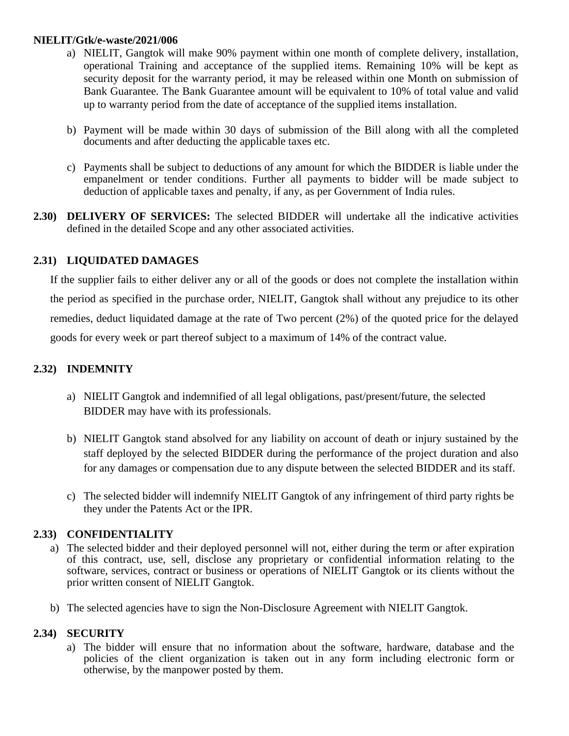- a) NIELIT, Gangtok will make 90% payment within one month of complete delivery, installation, operational Training and acceptance of the supplied items. Remaining 10% will be kept as security deposit for the warranty period, it may be released within one Month on submission of Bank Guarantee. The Bank Guarantee amount will be equivalent to 10% of total value and valid up to warranty period from the date of acceptance of the supplied items installation.
- b) Payment will be made within 30 days of submission of the Bill along with all the completed documents and after deducting the applicable taxes etc.
- c) Payments shall be subject to deductions of any amount for which the BIDDER is liable under the empanelment or tender conditions. Further all payments to bidder will be made subject to deduction of applicable taxes and penalty, if any, as per Government of India rules.
- **2.30) DELIVERY OF SERVICES:** The selected BIDDER will undertake all the indicative activities defined in the detailed Scope and any other associated activities.

# **2.31) LIQUIDATED DAMAGES**

If the supplier fails to either deliver any or all of the goods or does not complete the installation within the period as specified in the purchase order, NIELIT, Gangtok shall without any prejudice to its other remedies, deduct liquidated damage at the rate of Two percent (2%) of the quoted price for the delayed goods for every week or part thereof subject to a maximum of 14% of the contract value.

# **2.32) INDEMNITY**

- a) NIELIT Gangtok and indemnified of all legal obligations, past/present/future, the selected BIDDER may have with its professionals.
- b) NIELIT Gangtok stand absolved for any liability on account of death or injury sustained by the staff deployed by the selected BIDDER during the performance of the project duration and also for any damages or compensation due to any dispute between the selected BIDDER and its staff.
- c) The selected bidder will indemnify NIELIT Gangtok of any infringement of third party rights be they under the Patents Act or the IPR.

# **2.33) CONFIDENTIALITY**

- a) The selected bidder and their deployed personnel will not, either during the term or after expiration of this contract, use, sell, disclose any proprietary or confidential information relating to the software, services, contract or business or operations of NIELIT Gangtok or its clients without the prior written consent of NIELIT Gangtok.
- b) The selected agencies have to sign the Non-Disclosure Agreement with NIELIT Gangtok.

### **2.34) SECURITY**

a) The bidder will ensure that no information about the software, hardware, database and the policies of the client organization is taken out in any form including electronic form or otherwise, by the manpower posted by them.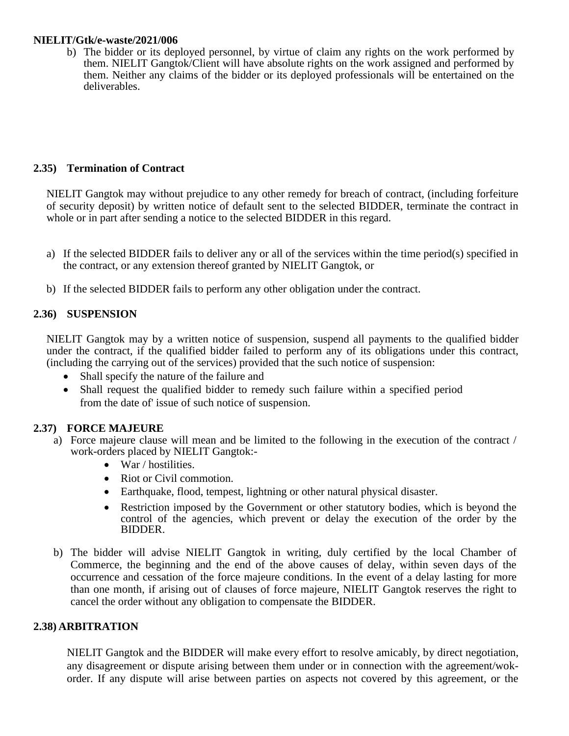b) The bidder or its deployed personnel, by virtue of claim any rights on the work performed by them. NIELIT Gangtok/Client will have absolute rights on the work assigned and performed by them. Neither any claims of the bidder or its deployed professionals will be entertained on the deliverables.

# **2.35) Termination of Contract**

NIELIT Gangtok may without prejudice to any other remedy for breach of contract, (including forfeiture of security deposit) by written notice of default sent to the selected BIDDER, terminate the contract in whole or in part after sending a notice to the selected BIDDER in this regard.

- a) If the selected BIDDER fails to deliver any or all of the services within the time period(s) specified in the contract, or any extension thereof granted by NIELIT Gangtok, or
- b) If the selected BIDDER fails to perform any other obligation under the contract.

# **2.36) SUSPENSION**

NIELIT Gangtok may by a written notice of suspension, suspend all payments to the qualified bidder under the contract, if the qualified bidder failed to perform any of its obligations under this contract, (including the carrying out of the services) provided that the such notice of suspension:

- Shall specify the nature of the failure and
- Shall request the qualified bidder to remedy such failure within a specified period from the date of' issue of such notice of suspension.

### **2.37) FORCE MAJEURE**

- a) Force majeure clause will mean and be limited to the following in the execution of the contract / work-orders placed by NIELIT Gangtok:-
	- War / hostilities.
	- Riot or Civil commotion.
	- Earthquake, flood, tempest, lightning or other natural physical disaster.
	- Restriction imposed by the Government or other statutory bodies, which is beyond the control of the agencies, which prevent or delay the execution of the order by the BIDDER.
- b) The bidder will advise NIELIT Gangtok in writing, duly certified by the local Chamber of Commerce, the beginning and the end of the above causes of delay, within seven days of the occurrence and cessation of the force majeure conditions. In the event of a delay lasting for more than one month, if arising out of clauses of force majeure, NIELIT Gangtok reserves the right to cancel the order without any obligation to compensate the BIDDER.

### **2.38) ARBITRATION**

NIELIT Gangtok and the BIDDER will make every effort to resolve amicably, by direct negotiation, any disagreement or dispute arising between them under or in connection with the agreement/wokorder. If any dispute will arise between parties on aspects not covered by this agreement, or the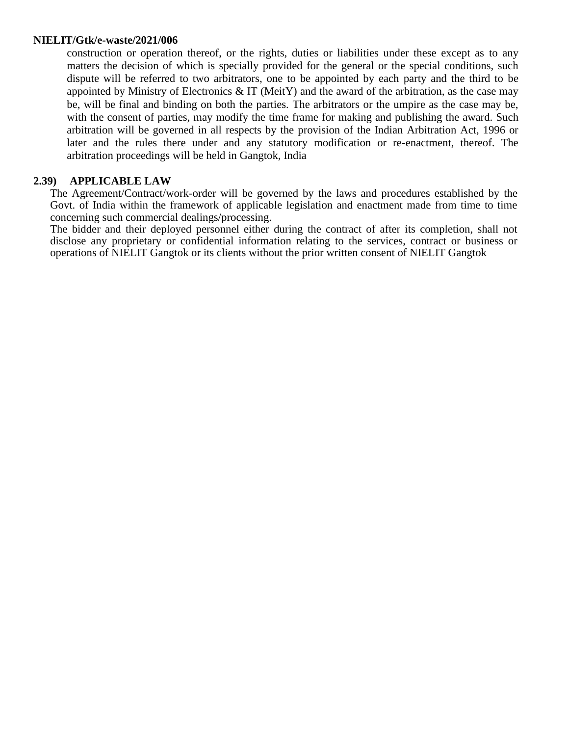construction or operation thereof, or the rights, duties or liabilities under these except as to any matters the decision of which is specially provided for the general or the special conditions, such dispute will be referred to two arbitrators, one to be appointed by each party and the third to be appointed by Ministry of Electronics  $\&$  IT (MeitY) and the award of the arbitration, as the case may be, will be final and binding on both the parties. The arbitrators or the umpire as the case may be, with the consent of parties, may modify the time frame for making and publishing the award. Such arbitration will be governed in all respects by the provision of the Indian Arbitration Act, 1996 or later and the rules there under and any statutory modification or re-enactment, thereof. The arbitration proceedings will be held in Gangtok, India

## **2.39) APPLICABLE LAW**

The Agreement/Contract/work-order will be governed by the laws and procedures established by the Govt. of India within the framework of applicable legislation and enactment made from time to time concerning such commercial dealings/processing.

The bidder and their deployed personnel either during the contract of after its completion, shall not disclose any proprietary or confidential information relating to the services, contract or business or operations of NIELIT Gangtok or its clients without the prior written consent of NIELIT Gangtok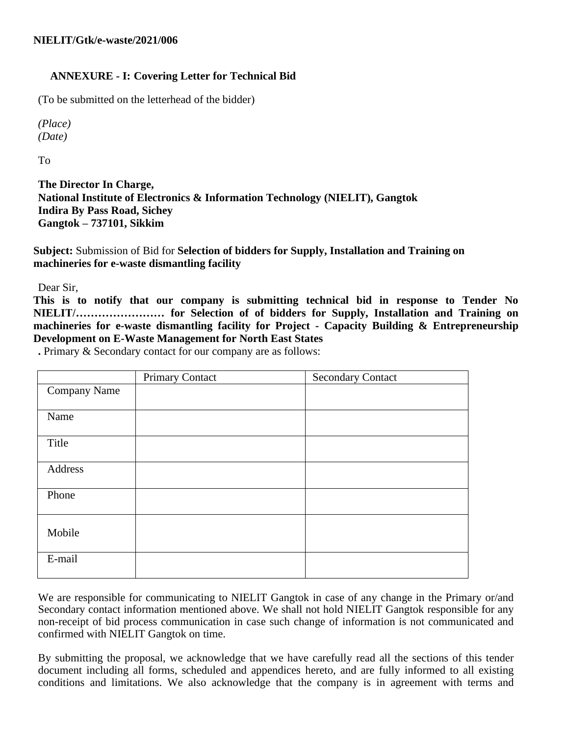# **ANNEXURE - I: Covering Letter for Technical Bid**

(To be submitted on the letterhead of the bidder)

*(Place) (Date)*

To

**The Director In Charge, National Institute of Electronics & Information Technology (NIELIT), Gangtok Indira By Pass Road, Sichey Gangtok – 737101, Sikkim**

**Subject:** Submission of Bid for **Selection of bidders for Supply, Installation and Training on machineries for e-waste dismantling facility**

Dear Sir,

**This is to notify that our company is submitting technical bid in response to Tender No NIELIT/…………………… for Selection of of bidders for Supply, Installation and Training on machineries for e-waste dismantling facility for Project - Capacity Building & Entrepreneurship Development on E-Waste Management for North East States**

**.** Primary & Secondary contact for our company are as follows:

|              | <b>Primary Contact</b> | <b>Secondary Contact</b> |
|--------------|------------------------|--------------------------|
| Company Name |                        |                          |
|              |                        |                          |
| Name         |                        |                          |
| Title        |                        |                          |
| Address      |                        |                          |
| Phone        |                        |                          |
| Mobile       |                        |                          |
| E-mail       |                        |                          |

We are responsible for communicating to NIELIT Gangtok in case of any change in the Primary or/and Secondary contact information mentioned above. We shall not hold NIELIT Gangtok responsible for any non-receipt of bid process communication in case such change of information is not communicated and confirmed with NIELIT Gangtok on time.

By submitting the proposal, we acknowledge that we have carefully read all the sections of this tender document including all forms, scheduled and appendices hereto, and are fully informed to all existing conditions and limitations. We also acknowledge that the company is in agreement with terms and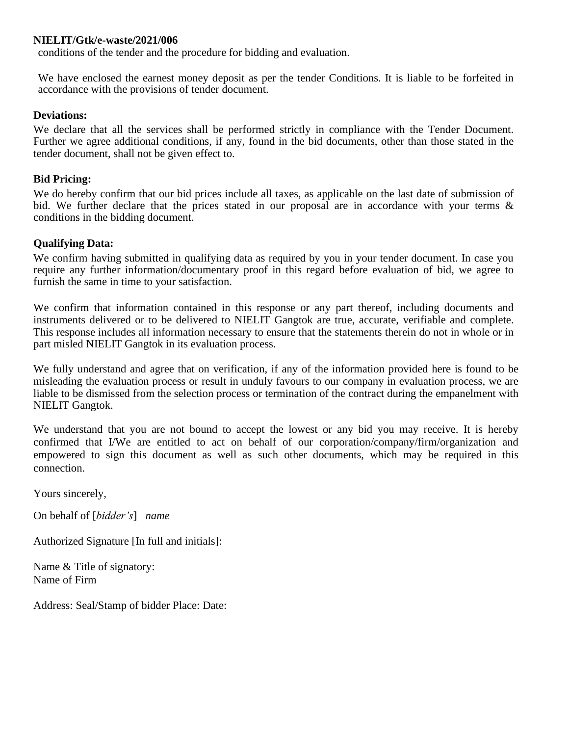conditions of the tender and the procedure for bidding and evaluation.

We have enclosed the earnest money deposit as per the tender Conditions. It is liable to be forfeited in accordance with the provisions of tender document.

### **Deviations:**

We declare that all the services shall be performed strictly in compliance with the Tender Document. Further we agree additional conditions, if any, found in the bid documents, other than those stated in the tender document, shall not be given effect to.

### **Bid Pricing:**

We do hereby confirm that our bid prices include all taxes, as applicable on the last date of submission of bid. We further declare that the prices stated in our proposal are in accordance with your terms & conditions in the bidding document.

### **Qualifying Data:**

We confirm having submitted in qualifying data as required by you in your tender document. In case you require any further information/documentary proof in this regard before evaluation of bid, we agree to furnish the same in time to your satisfaction.

We confirm that information contained in this response or any part thereof, including documents and instruments delivered or to be delivered to NIELIT Gangtok are true, accurate, verifiable and complete. This response includes all information necessary to ensure that the statements therein do not in whole or in part misled NIELIT Gangtok in its evaluation process.

We fully understand and agree that on verification, if any of the information provided here is found to be misleading the evaluation process or result in unduly favours to our company in evaluation process, we are liable to be dismissed from the selection process or termination of the contract during the empanelment with NIELIT Gangtok.

We understand that you are not bound to accept the lowest or any bid you may receive. It is hereby confirmed that I/We are entitled to act on behalf of our corporation/company/firm/organization and empowered to sign this document as well as such other documents, which may be required in this connection.

Yours sincerely,

On behalf of [*bidder's*] *name*

Authorized Signature [In full and initials]:

Name & Title of signatory: Name of Firm

Address: Seal/Stamp of bidder Place: Date: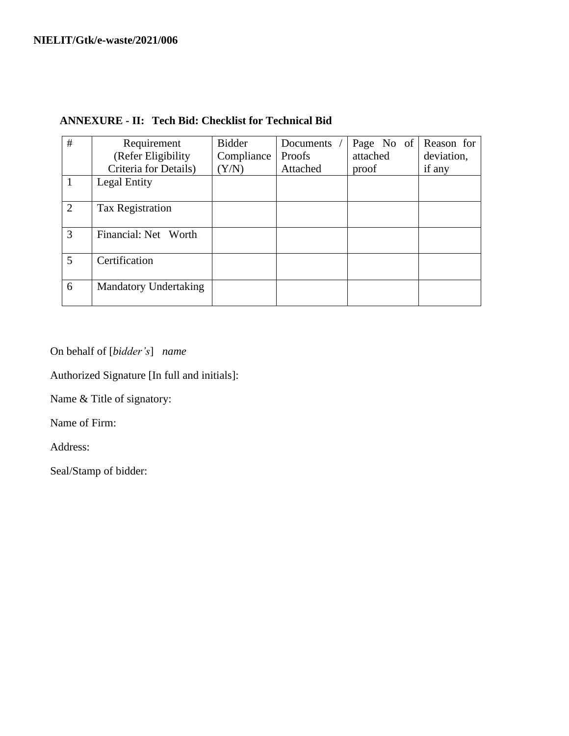| #              | Requirement                  | <b>Bidder</b> | Documents | Page No of | Reason for |
|----------------|------------------------------|---------------|-----------|------------|------------|
|                | (Refer Eligibility           | Compliance    | Proofs    | attached   | deviation, |
|                | Criteria for Details)        | (Y/N)         | Attached  | proof      | if any     |
|                | Legal Entity                 |               |           |            |            |
| $\overline{2}$ | <b>Tax Registration</b>      |               |           |            |            |
| 3              | Financial: Net Worth         |               |           |            |            |
| $\mathfrak{H}$ | Certification                |               |           |            |            |
| 6              | <b>Mandatory Undertaking</b> |               |           |            |            |

# **ANNEXURE - II: Tech Bid: Checklist for Technical Bid**

On behalf of [*bidder's*] *name*

Authorized Signature [In full and initials]:

Name & Title of signatory:

Name of Firm:

Address:

Seal/Stamp of bidder: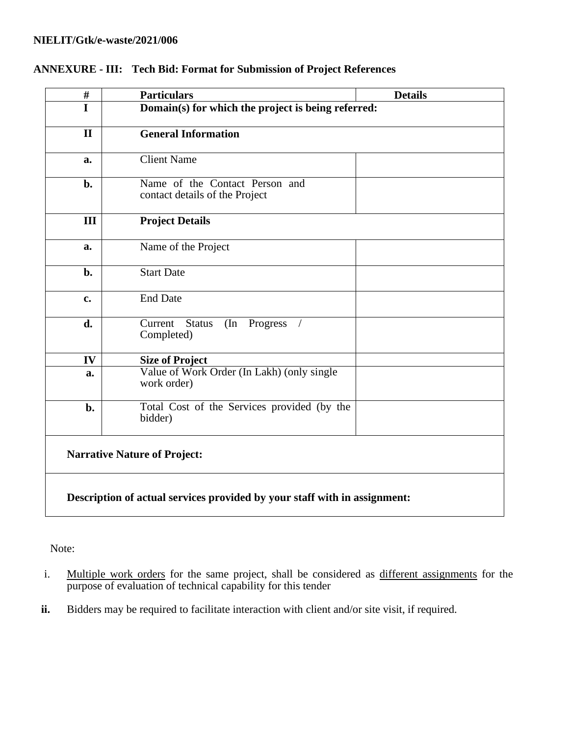| $\#$                                                                      | <b>Particulars</b>                                               | <b>Details</b> |  |
|---------------------------------------------------------------------------|------------------------------------------------------------------|----------------|--|
| I                                                                         | Domain(s) for which the project is being referred:               |                |  |
| $\mathbf{I}$                                                              | <b>General Information</b>                                       |                |  |
| a.                                                                        | <b>Client Name</b>                                               |                |  |
| b.                                                                        | Name of the Contact Person and<br>contact details of the Project |                |  |
| III                                                                       | <b>Project Details</b>                                           |                |  |
| a.                                                                        | Name of the Project                                              |                |  |
| b.                                                                        | <b>Start Date</b>                                                |                |  |
| c.                                                                        | <b>End Date</b>                                                  |                |  |
| d.                                                                        | Current<br><b>Status</b><br>(In Progress<br>Completed)           |                |  |
| IV                                                                        | <b>Size of Project</b>                                           |                |  |
| a.                                                                        | Value of Work Order (In Lakh) (only single<br>work order)        |                |  |
| b.                                                                        | Total Cost of the Services provided (by the<br>bidder)           |                |  |
|                                                                           | <b>Narrative Nature of Project:</b>                              |                |  |
| Description of actual services provided by your staff with in assignment: |                                                                  |                |  |

# **ANNEXURE - III: Tech Bid: Format for Submission of Project References**

Note:

- i. Multiple work orders for the same project, shall be considered as different assignments for the purpose of evaluation of technical capability for this tender
- **ii.** Bidders may be required to facilitate interaction with client and/or site visit, if required.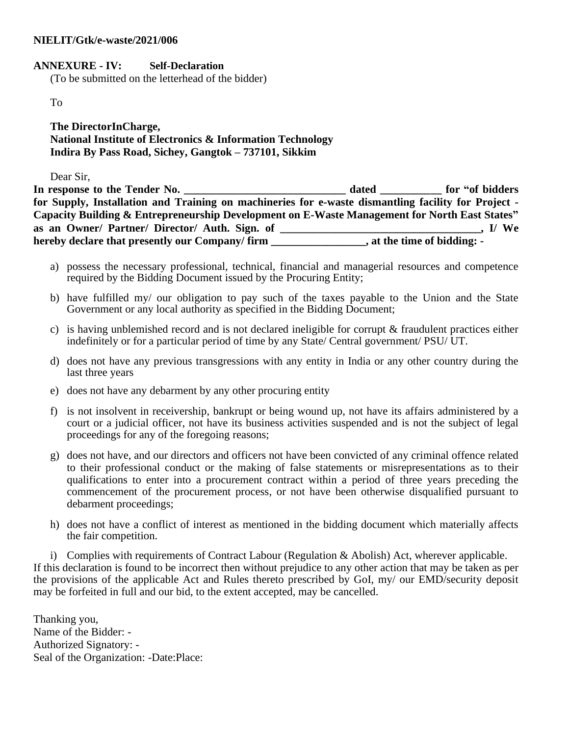### **ANNEXURE - IV: Self-Declaration**

(To be submitted on the letterhead of the bidder)

To

**The DirectorInCharge, National Institute of Electronics & Information Technology Indira By Pass Road, Sichey, Gangtok – 737101, Sikkim**

Dear Sir,

In response to the Tender No. **dated for "of bidders for Supply, Installation and Training on machineries for e-waste dismantling facility for Project - Capacity Building & Entrepreneurship Development on E-Waste Management for North East States" as an Owner/ Partner/ Director/ Auth. Sign. of \_\_\_\_\_\_\_\_\_\_\_\_\_\_\_\_\_\_\_\_\_\_\_\_\_\_\_\_\_\_\_\_\_\_\_\_, I/ We hereby declare that presently our Company/ firm \_\_\_\_\_\_\_\_\_\_\_\_\_\_\_\_\_, at the time of bidding: -**

- a) possess the necessary professional, technical, financial and managerial resources and competence required by the Bidding Document issued by the Procuring Entity;
- b) have fulfilled my/ our obligation to pay such of the taxes payable to the Union and the State Government or any local authority as specified in the Bidding Document;
- c) is having unblemished record and is not declared ineligible for corrupt & fraudulent practices either indefinitely or for a particular period of time by any State/ Central government/ PSU/ UT.
- d) does not have any previous transgressions with any entity in India or any other country during the last three years
- e) does not have any debarment by any other procuring entity
- f) is not insolvent in receivership, bankrupt or being wound up, not have its affairs administered by a court or a judicial officer, not have its business activities suspended and is not the subject of legal proceedings for any of the foregoing reasons;
- g) does not have, and our directors and officers not have been convicted of any criminal offence related to their professional conduct or the making of false statements or misrepresentations as to their qualifications to enter into a procurement contract within a period of three years preceding the commencement of the procurement process, or not have been otherwise disqualified pursuant to debarment proceedings;
- h) does not have a conflict of interest as mentioned in the bidding document which materially affects the fair competition.

i) Complies with requirements of Contract Labour (Regulation & Abolish) Act, wherever applicable. If this declaration is found to be incorrect then without prejudice to any other action that may be taken as per the provisions of the applicable Act and Rules thereto prescribed by GoI, my/ our EMD/security deposit may be forfeited in full and our bid, to the extent accepted, may be cancelled.

Thanking you, Name of the Bidder: - Authorized Signatory: - Seal of the Organization: -Date:Place: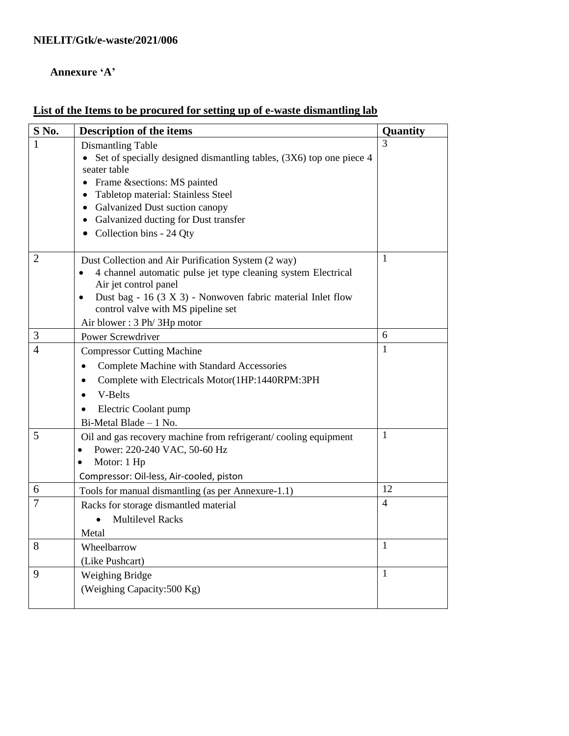# **Annexure 'A'**

# **List of the Items to be procured for setting up of e-waste dismantling lab**

| S No.          | <b>Description of the items</b>                                          | Quantity       |
|----------------|--------------------------------------------------------------------------|----------------|
|                | <b>Dismantling Table</b>                                                 | $\mathcal{R}$  |
|                | • Set of specially designed dismantling tables, $(3X6)$ top one piece 4  |                |
|                | seater table                                                             |                |
|                | Frame & sections: MS painted                                             |                |
|                | Tabletop material: Stainless Steel                                       |                |
|                | Galvanized Dust suction canopy<br>Galvanized ducting for Dust transfer   |                |
|                | • Collection bins - 24 Qty                                               |                |
|                |                                                                          |                |
| 2              | Dust Collection and Air Purification System (2 way)                      |                |
|                | 4 channel automatic pulse jet type cleaning system Electrical            |                |
|                | Air jet control panel                                                    |                |
|                | Dust bag - 16 (3 X 3) - Nonwoven fabric material Inlet flow<br>$\bullet$ |                |
|                | control valve with MS pipeline set                                       |                |
| 3              | Air blower: 3 Ph/3Hp motor                                               | 6              |
| $\overline{4}$ | Power Screwdriver                                                        | $\mathbf{1}$   |
|                | <b>Compressor Cutting Machine</b>                                        |                |
|                | <b>Complete Machine with Standard Accessories</b><br>$\bullet$           |                |
|                | Complete with Electricals Motor(1HP:1440RPM:3PH<br>$\bullet$             |                |
|                | V-Belts<br>$\bullet$                                                     |                |
|                | Electric Coolant pump                                                    |                |
|                | Bi-Metal Blade - 1 No.                                                   |                |
| 5              | Oil and gas recovery machine from refrigerant/cooling equipment          | $\mathbf{1}$   |
|                | Power: 220-240 VAC, 50-60 Hz                                             |                |
|                | Motor: 1 Hp<br>$\bullet$                                                 |                |
|                | Compressor: Oil-less, Air-cooled, piston                                 | 12             |
| 6              | Tools for manual dismantling (as per Annexure-1.1)                       | $\overline{4}$ |
| $\overline{7}$ | Racks for storage dismantled material                                    |                |
|                | <b>Multilevel Racks</b>                                                  |                |
|                | Metal                                                                    |                |
| 8              | Wheelbarrow                                                              | $\mathbf{1}$   |
|                | (Like Pushcart)                                                          | $\mathbf{1}$   |
| 9              | Weighing Bridge                                                          |                |
|                | (Weighing Capacity:500 Kg)                                               |                |
|                |                                                                          |                |